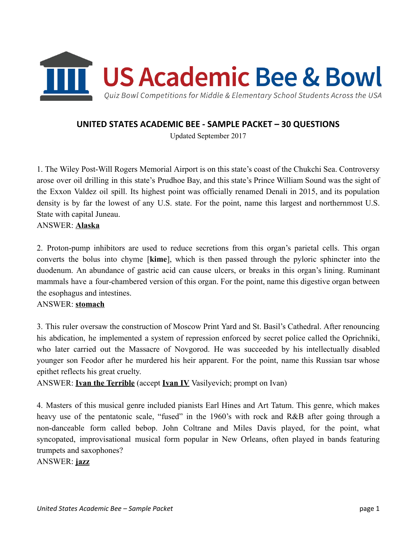

# UNITED STATES ACADEMIC BEE - SAMPLE PACKET – 30 QUESTIONS

Updated September 2017

1. The Wiley Post-Will Rogers Memorial Airport is on this state's coast of the Chukchi Sea. Controversy arose over oil drilling in this state's Prudhoe Bay, and this state's Prince William Sound was the sight of the Exxon Valdez oil spill. Its highest point was officially renamed Denali in 2015, and its population density is by far the lowest of any U.S. state. For the point, name this largest and northernmost U.S. State with capital Juneau.

#### ANSWER: Alaska

2. Proton-pump inhibitors are used to reduce secretions from this organ's parietal cells. This organ converts the bolus into chyme [kime], which is then passed through the pyloric sphincter into the duodenum. An abundance of gastric acid can cause ulcers, or breaks in this organ's lining. Ruminant mammals have a four-chambered version of this organ. For the point, name this digestive organ between the esophagus and intestines.

### ANSWER: stomach

3. This ruler oversaw the construction of Moscow Print Yard and St. Basil's Cathedral. After renouncing his abdication, he implemented a system of repression enforced by secret police called the Oprichniki, who later carried out the Massacre of Novgorod. He was succeeded by his intellectually disabled younger son Feodor after he murdered his heir apparent. For the point, name this Russian tsar whose epithet reflects his great cruelty.

ANSWER: **Ivan the Terrible** (accept **Ivan IV** Vasilyevich; prompt on Ivan)

4. Masters of this musical genre included pianists Earl Hines and Art Tatum. This genre, which makes heavy use of the pentatonic scale, "fused" in the 1960's with rock and R&B after going through a non-danceable form called bebop. John Coltrane and Miles Davis played, for the point, what syncopated, improvisational musical form popular in New Orleans, often played in bands featuring trumpets and saxophones?

### ANSWER: jazz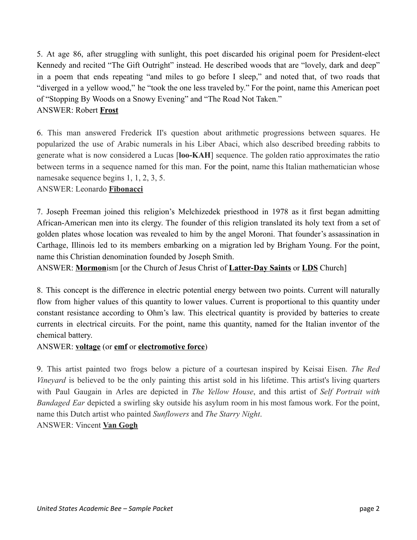5. At age 86, after struggling with sunlight, this poet discarded his original poem for President-elect Kennedy and recited "The Gift Outright" instead. He described woods that are "lovely, dark and deep" in a poem that ends repeating "and miles to go before I sleep," and noted that, of two roads that "diverged in a yellow wood," he "took the one less traveled by." For the point, name this American poet of "Stopping By Woods on a Snowy Evening" and "The Road Not Taken."

# ANSWER: Robert Frost

6. This man answered Frederick II's question about arithmetic progressions between squares. He popularized the use of Arabic numerals in his Liber Abaci, which also described breeding rabbits to generate what is now considered a Lucas [loo-KAH] sequence. The golden ratio approximates the ratio between terms in a sequence named for this man. For the point, name this Italian mathematician whose namesake sequence begins 1, 1, 2, 3, 5.

## ANSWER: Leonardo Fibonacci

7. Joseph Freeman joined this religion's Melchizedek priesthood in 1978 as it first began admitting African-American men into its clergy. The founder of this religion translated its holy text from a set of golden plates whose location was revealed to him by the angel Moroni. That founder's assassination in Carthage, Illinois led to its members embarking on a migration led by Brigham Young. For the point, name this Christian denomination founded by Joseph Smith.

ANSWER: Mormonism [or the Church of Jesus Christ of Latter-Day Saints or LDS Church]

8. This concept is the difference in electric potential energy between two points. Current will naturally flow from higher values of this quantity to lower values. Current is proportional to this quantity under constant resistance according to Ohm's law. This electrical quantity is provided by batteries to create currents in electrical circuits. For the point, name this quantity, named for the Italian inventor of the chemical battery.

### ANSWER: voltage (or emf or electromotive force)

9. This artist painted two frogs below a picture of a courtesan inspired by Keisai Eisen. *The Red Vineyard* is believed to be the only painting this artist sold in his lifetime. This artist's living quarters with Paul Gaugain in Arles are depicted in *The Yellow House*, and this artist of *Self Portrait with Bandaged Ear* depicted a swirling sky outside his asylum room in his most famous work. For the point, name this Dutch artist who painted *Sunflowers* and *The Starry Night*. ANSWER: Vincent Van Gogh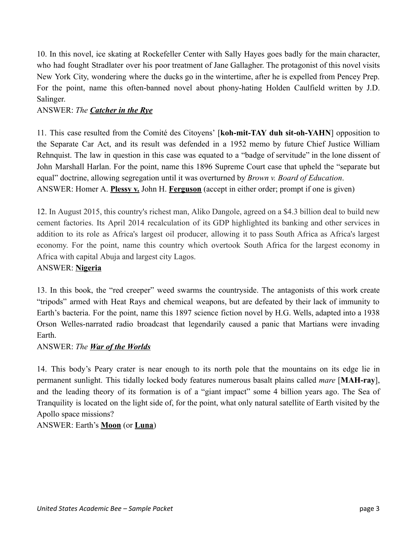10. In this novel, ice skating at Rockefeller Center with Sally Hayes goes badly for the main character, who had fought Stradlater over his poor treatment of Jane Gallagher. The protagonist of this novel visits New York City, wondering where the ducks go in the wintertime, after he is expelled from Pencey Prep. For the point, name this often-banned novel about phony-hating Holden Caulfield written by J.D. Salinger.

## ANSWER: *The Catcher in the Rye*

11. This case resulted from the Comité des Citoyens' [koh-mit-TAY duh sit-oh-YAHN] opposition to the Separate Car Act, and its result was defended in a 1952 memo by future Chief Justice William Rehnquist. The law in question in this case was equated to a "badge of servitude" in the lone dissent of John Marshall Harlan. For the point, name this 1896 Supreme Court case that upheld the "separate but equal" doctrine, allowing segregation until it was overturned by *Brown v. Board of Education*. ANSWER: Homer A. **Plessy v.** John H. **Ferguson** (accept in either order; prompt if one is given)

12. In August 2015, this country's richest man, Aliko Dangole, agreed on a \$4.3 billion deal to build new cement factories. Its April 2014 recalculation of its GDP highlighted its banking and other services in addition to its role as Africa's largest oil producer, allowing it to pass South Africa as Africa's largest economy. For the point, name this country which overtook South Africa for the largest economy in Africa with capital Abuja and largest city Lagos.

### ANSWER: Nigeria

13. In this book, the "red creeper" weed swarms the countryside. The antagonists of this work create "tripods" armed with Heat Rays and chemical weapons, but are defeated by their lack of immunity to Earth's bacteria. For the point, name this 1897 science fiction novel by H.G. Wells, adapted into a 1938 Orson Welles-narrated radio broadcast that legendarily caused a panic that Martians were invading Earth.

#### ANSWER: *The War of the Worlds*

14. This body's Peary crater is near enough to its north pole that the mountains on its edge lie in permanent sunlight. This tidally locked body features numerous basalt plains called *mare* [MAH-ray], and the leading theory of its formation is of a "giant impact" some 4 billion years ago. The Sea of Tranquility is located on the light side of, for the point, what only natural satellite of Earth visited by the Apollo space missions?

### ANSWER: Earth's **Moon** (or **Luna**)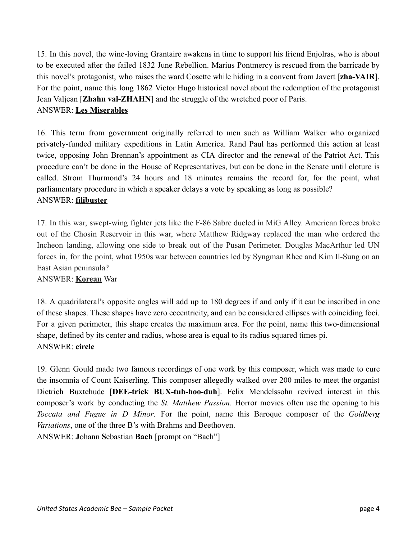15. In this novel, the wine-loving Grantaire awakens in time to support his friend Enjolras, who is about to be executed after the failed 1832 June Rebellion. Marius Pontmercy is rescued from the barricade by this novel's protagonist, who raises the ward Cosette while hiding in a convent from Javert [zha-VAIR]. For the point, name this long 1862 Victor Hugo historical novel about the redemption of the protagonist Jean Valjean [Zhahn val-ZHAHN] and the struggle of the wretched poor of Paris. ANSWER: Les Miserables

16. This term from government originally referred to men such as William Walker who organized privately-funded military expeditions in Latin America. Rand Paul has performed this action at least twice, opposing John Brennan's appointment as CIA director and the renewal of the Patriot Act. This procedure can't be done in the House of Representatives, but can be done in the Senate until cloture is called. Strom Thurmond's 24 hours and 18 minutes remains the record for, for the point, what parliamentary procedure in which a speaker delays a vote by speaking as long as possible? ANSWER: filibuster

17. In this war, swept-wing fighter jets like the F-86 Sabre dueled in MiG Alley. American forces broke out of the Chosin Reservoir in this war, where Matthew Ridgway replaced the man who ordered the Incheon landing, allowing one side to break out of the Pusan Perimeter. Douglas MacArthur led UN forces in, for the point, what 1950s war between countries led by Syngman Rhee and Kim Il-Sung on an East Asian peninsula?

### ANSWER: Korean War

18. A quadrilateral's opposite angles will add up to 180 degrees if and only if it can be inscribed in one of these shapes. These shapes have zero eccentricity, and can be considered ellipses with coinciding foci. For a given perimeter, this shape creates the maximum area. For the point, name this two-dimensional shape, defined by its center and radius, whose area is equal to its radius squared times pi. ANSWER: circle

19. Glenn Gould made two famous recordings of one work by this composer, which was made to cure the insomnia of Count Kaiserling. This composer allegedly walked over 200 miles to meet the organist Dietrich Buxtehude [DEE-trick BUX-tuh-hoo-duh]. Felix Mendelssohn revived interest in this composer's work by conducting the *St. Matthew Passion*. Horror movies often use the opening to his *Toccata and Fugue in D Minor*. For the point, name this Baroque composer of the *Goldberg Variations*, one of the three B's with Brahms and Beethoven. ANSWER: **J**ohann Sebastian **Bach** [prompt on "Bach"]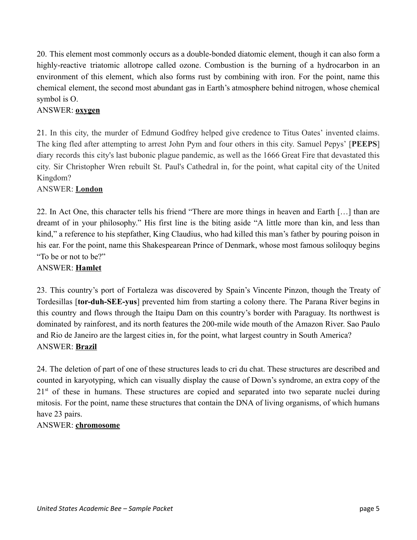20. This element most commonly occurs as a double-bonded diatomic element, though it can also form a highly-reactive triatomic allotrope called ozone. Combustion is the burning of a hydrocarbon in an environment of this element, which also forms rust by combining with iron. For the point, name this chemical element, the second most abundant gas in Earth's atmosphere behind nitrogen, whose chemical symbol is O.

## ANSWER: **oxygen**

21. In this city, the murder of Edmund Godfrey helped give credence to Titus Oates' invented claims. The king fled after attempting to arrest John Pym and four others in this city. Samuel Pepys' [PEEPS] diary records this city's last bubonic plague pandemic, as well as the 1666 Great Fire that devastated this city. Sir Christopher Wren rebuilt St. Paul's Cathedral in, for the point, what capital city of the United Kingdom?

#### ANSWER: London

22. In Act One, this character tells his friend "There are more things in heaven and Earth […] than are dreamt of in your philosophy." His first line is the biting aside "A little more than kin, and less than kind," a reference to his stepfather, King Claudius, who had killed this man's father by pouring poison in his ear. For the point, name this Shakespearean Prince of Denmark, whose most famous soliloquy begins "To be or not to be?"

### ANSWER: Hamlet

23. This country's port of Fortaleza was discovered by Spain's Vincente Pinzon, though the Treaty of Tordesillas [tor-duh-SEE-yus] prevented him from starting a colony there. The Parana River begins in this country and flows through the Itaipu Dam on this country's border with Paraguay. Its northwest is dominated by rainforest, and its north features the 200-mile wide mouth of the Amazon River. Sao Paulo and Rio de Janeiro are the largest cities in, for the point, what largest country in South America? ANSWER: Brazil

24. The deletion of part of one of these structures leads to cri du chat. These structures are described and counted in karyotyping, which can visually display the cause of Down's syndrome, an extra copy of the 21<sup>st</sup> of these in humans. These structures are copied and separated into two separate nuclei during mitosis. For the point, name these structures that contain the DNA of living organisms, of which humans have 23 pairs.

### ANSWER: chromosome